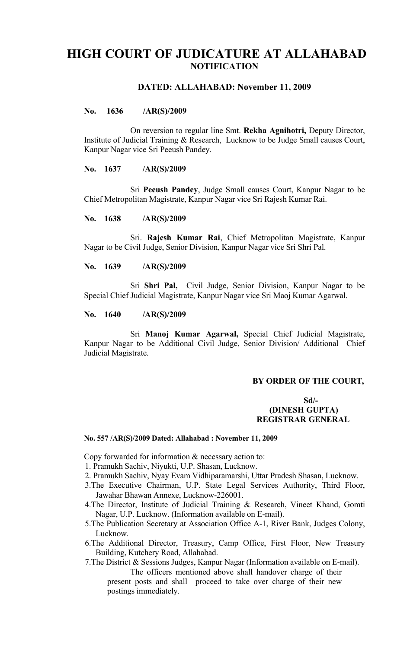# **HIGH COURT OF JUDICATURE AT ALLAHABAD NOTIFICATION**

## **DATED: ALLAHABAD: November 11, 2009**

## **No. 1636 /AR(S)/2009**

On reversion to regular line Smt. **Rekha Agnihotri,** Deputy Director, Institute of Judicial Training & Research, Lucknow to be Judge Small causes Court, Kanpur Nagar vice Sri Peeush Pandey.

#### **No. 1637 /AR(S)/2009**

Sri **Peeush Pandey**, Judge Small causes Court, Kanpur Nagar to be Chief Metropolitan Magistrate, Kanpur Nagar vice Sri Rajesh Kumar Rai.

## **No. 1638 /AR(S)/2009**

Sri. **Rajesh Kumar Rai**, Chief Metropolitan Magistrate, Kanpur Nagar to be Civil Judge, Senior Division, Kanpur Nagar vice Sri Shri Pal.

## **No. 1639 /AR(S)/2009**

Sri **Shri Pal,** Civil Judge, Senior Division, Kanpur Nagar to be Special Chief Judicial Magistrate, Kanpur Nagar vice Sri Maoj Kumar Agarwal.

#### **No. 1640 /AR(S)/2009**

Sri **Manoj Kumar Agarwal,** Special Chief Judicial Magistrate, Kanpur Nagar to be Additional Civil Judge, Senior Division/ Additional Chief Judicial Magistrate.

## **BY ORDER OF THE COURT,**

## **Sd/- (DINESH GUPTA) REGISTRAR GENERAL**

#### **No. 557 /AR(S)/2009 Dated: Allahabad : November 11, 2009**

Copy forwarded for information & necessary action to:

- 1. Pramukh Sachiv, Niyukti, U.P. Shasan, Lucknow.
- 2. Pramukh Sachiv, Nyay Evam Vidhiparamarshi, Uttar Pradesh Shasan, Lucknow.
- 3.The Executive Chairman, U.P. State Legal Services Authority, Third Floor, Jawahar Bhawan Annexe, Lucknow-226001.
- 4.The Director, Institute of Judicial Training & Research, Vineet Khand, Gomti Nagar, U.P. Lucknow. (Information available on E-mail).
- 5.The Publication Secretary at Association Office A-1, River Bank, Judges Colony, Lucknow.
- 6.The Additional Director, Treasury, Camp Office, First Floor, New Treasury Building, Kutchery Road, Allahabad.
- 7.The District & Sessions Judges, Kanpur Nagar (Information available on E-mail). The officers mentioned above shall handover charge of their present posts and shall proceed to take over charge of their new postings immediately.